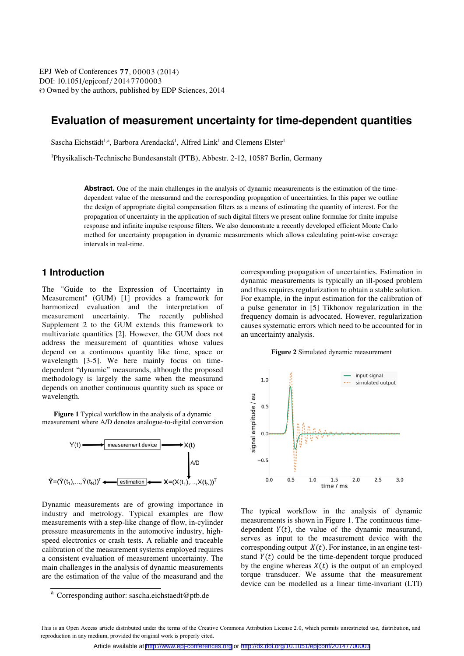DOI: 10.1051/epjconf/20147700003 -<sup>C</sup> Owned by the authors, published by EDP Sciences, 2014 EPJ Web of Conferences 77, 00003 (2014)

# **Evaluation of measurement uncertainty for time-dependent quantities**

Sascha Eichstädt<sup>1,a</sup>, Barbora Arendacká<sup>1</sup>, Alfred Link<sup>1</sup> and Clemens Elster<sup>1</sup>

1 Physikalisch-Technische Bundesanstalt (PTB), Abbestr. 2-12, 10587 Berlin, Germany

**Abstract.** One of the main challenges in the analysis of dynamic measurements is the estimation of the timedependent value of the measurand and the corresponding propagation of uncertainties. In this paper we outline the design of appropriate digital compensation filters as a means of estimating the quantity of interest. For the propagation of uncertainty in the application of such digital filters we present online formulae for finite impulse response and infinite impulse response filters. We also demonstrate a recently developed efficient Monte Carlo method for uncertainty propagation in dynamic measurements which allows calculating point-wise coverage intervals in real-time.

## **1 Introduction**

The "Guide to the Expression of Uncertainty in Measurement" (GUM) [1] provides a framework for harmonized evaluation and the interpretation of measurement uncertainty. The recently published Supplement 2 to the GUM extends this framework to multivariate quantities [2]. However, the GUM does not address the measurement of quantities whose values depend on a continuous quantity like time, space or wavelength [3-5]. We here mainly focus on timedependent "dynamic" measurands, although the proposed methodology is largely the same when the measurand depends on another continuous quantity such as space or wavelength.

**Figure 1** Typical workflow in the analysis of a dynamic measurement where A/D denotes analogue-to-digital conversion



Dynamic measurements are of growing importance in industry and metrology. Typical examples are flow measurements with a step-like change of flow, in-cylinder pressure measurements in the automotive industry, highspeed electronics or crash tests. A reliable and traceable calibration of the measurement systems employed requires a consistent evaluation of measurement uncertainty. The main challenges in the analysis of dynamic measurements are the estimation of the value of the measurand and the corresponding propagation of uncertainties. Estimation in dynamic measurements is typically an ill-posed problem and thus requires regularization to obtain a stable solution. For example, in the input estimation for the calibration of a pulse generator in [5] Tikhonov regularization in the frequency domain is advocated. However, regularization causes systematic errors which need to be accounted for in an uncertainty analysis.

#### **Figure 2** Simulated dynamic measurement



The typical workflow in the analysis of dynamic measurements is shown in Figure 1. The continuous timedependent  $Y(t)$ , the value of the dynamic measurand, serves as input to the measurement device with the corresponding output  $X(t)$ . For instance, in an engine teststand  $Y(t)$  could be the time-dependent torque produced by the engine whereas  $X(t)$  is the output of an employed torque transducer. We assume that the measurement device can be modelled as a linear time-invariant (LTI)

 $\overline{a}$  Corresponding author: sascha.eichstaedt@ptb.de

This is an Open Access article distributed under the terms of the Creative Commons Attribution License 2.0, which permits unrestricted use, distribution, and reproduction in any medium, provided the original work is properly cited.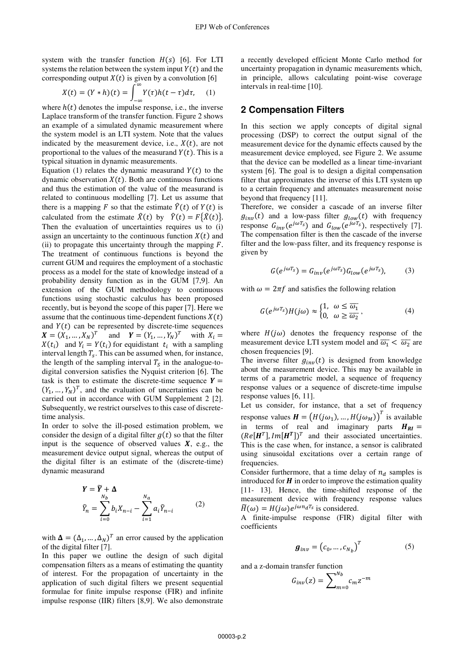system with the transfer function  $H(s)$  [6]. For LTI systems the relation between the system input  $Y(t)$  and the corresponding output  $X(t)$  is given by a convolution [6]

$$
X(t) = (Y * h)(t) = \int_{-\infty}^{\infty} Y(\tau)h(t - \tau)d\tau, \quad (1)
$$

where  $h(t)$  denotes the impulse response, i.e., the inverse Laplace transform of the transfer function. Figure 2 shows an example of a simulated dynamic measurement where the system model is an LTI system. Note that the values indicated by the measurement device, i.e.,  $X(t)$ , are not proportional to the values of the measurand  $Y(t)$ . This is a typical situation in dynamic measurements.

Equation (1) relates the dynamic measurand  $Y(t)$  to the dynamic observation  $X(t)$ . Both are continuous functions and thus the estimation of the value of the measurand is related to continuous modelling [7]. Let us assume that there is a mapping F so that the estimate  $\hat{Y}(t)$  of  $Y(t)$  is calculated from the estimate  $\hat{X}(t)$  by  $\hat{Y}(t) = F\{\hat{X}(t)\}.$ Then the evaluation of uncertainties requires us to (i) assign an uncertainty to the continuous function  $X(t)$  and (ii) to propagate this uncertainty through the mapping  $F$ . The treatment of continuous functions is beyond the current GUM and requires the employment of a stochastic process as a model for the state of knowledge instead of a probability density function as in the GUM [7,9]. An extension of the GUM methodology to continuous functions using stochastic calculus has been proposed recently, but is beyond the scope of this paper [7]. Here we assume that the continuous time-dependent functions  $X(t)$ and  $Y(t)$  can be represented by discrete-time sequences  $X = (X_1, ..., X_N)^T$  and  $Y = (Y_1, ..., Y_N)^T$  with  $X_i =$  $X(t_i)$  and  $Y_i = Y(t_i)$  for equidistant  $t_i$  with a sampling interval length  $T_s$ . This can be assumed when, for instance, the length of the sampling interval  $T_s$  in the analogue-todigital conversion satisfies the Nyquist criterion [6]. The task is then to estimate the discrete-time sequence  $Y =$  $(Y_1, ..., Y_N)^T$ , and the evaluation of uncertainties can be carried out in accordance with GUM Supplement 2 [2]. Subsequently, we restrict ourselves to this case of discretetime analysis.

In order to solve the ill-posed estimation problem, we consider the design of a digital filter  $q(t)$  so that the filter input is the sequence of observed values  $X$ , e.g., the measurement device output signal, whereas the output of the digital filter is an estimate of the (discrete-time) dynamic measurand

$$
Y = \widetilde{Y} + \Delta
$$
  

$$
\widetilde{Y}_n = \sum_{i=0}^{N_b} b_i X_{n-i} - \sum_{i=1}^{N_a} a_i \widetilde{Y}_{n-i}
$$
 (2)

with  $\mathbf{\Delta} = (\Delta_1, ..., \Delta_N)^T$  an error caused by the application of the digital filter [7].

In this paper we outline the design of such digital compensation filters as a means of estimating the quantity of interest. For the propagation of uncertainty in the application of such digital filters we present sequential formulae for finite impulse response (FIR) and infinite impulse response (IIR) filters [8,9]. We also demonstrate

a recently developed efficient Monte Carlo method for uncertainty propagation in dynamic measurements which, in principle, allows calculating point-wise coverage intervals in real-time [10].

### **2 Compensation Filters**

In this section we apply concepts of digital signal processing (DSP) to correct the output signal of the measurement device for the dynamic effects caused by the measurement device employed, see Figure 2. We assume that the device can be modelled as a linear time-invariant system [6]. The goal is to design a digital compensation filter that approximates the inverse of this LTI system up to a certain frequency and attenuates measurement noise beyond that frequency [11].

Therefore, we consider a cascade of an inverse filter  $g_{inv}(t)$  and a low-pass filter  $g_{low}(t)$  with frequency response  $G_{inv}(e^{j\omega T_s})$  and  $G_{low}(e^{j\omega T_s})$ , respectively [7]. The compensation filter is then the cascade of the inverse filter and the low-pass filter, and its frequency response is given by

$$
G(e^{j\omega T_s}) = G_{inv}(e^{j\omega T_s}) G_{low}(e^{j\omega T_s}), \qquad (3)
$$

with  $\omega = 2\pi f$  and satisfies the following relation

$$
G(e^{j\omega T_s})H(j\omega) \approx \begin{cases} 1, & \omega \le \overline{\omega_1} \\ 0, & \omega \ge \overline{\omega_2} \end{cases},
$$
 (4)

where  $H(j\omega)$  denotes the frequency response of the measurement device LTI system model and  $\overline{\omega_1} < \overline{\omega_2}$  are chosen frequencies [9].

The inverse filter  $g_{inv}(t)$  is designed from knowledge about the measurement device. This may be available in terms of a parametric model, a sequence of frequency response values or a sequence of discrete-time impulse response values [6, 11].

Let us consider, for instance, that a set of frequency response values  $\boldsymbol{H} = (H(j\omega_1), ..., H(j\omega_M))^T$  is available in terms of real and imaginary parts  $H_{RI}$  =  $(Re[\mathbf{H}^T], Im[\mathbf{H}^T])^T$  and their associated uncertainties. This is the case when, for instance, a sensor is calibrated using sinusoidal excitations over a certain range of frequencies.

Consider furthermore, that a time delay of  $n_d$  samples is introduced for  $H$  in order to improve the estimation quality [11- 13]. Hence, the time-shifted response of the measurement device with frequency response values  $\widetilde{H}(\omega) = H(i\omega)e^{j\omega n_d T_s}$  is considered.

A finite-impulse response (FIR) digital filter with coefficients

$$
\boldsymbol{g}_{inv} = (c_0, \dots, c_{N_b})^T
$$
 (5)

and a z-domain transfer function

$$
G_{inv}(z) = \sum\nolimits_{m=0}^{N_b} c_m z^{-m}
$$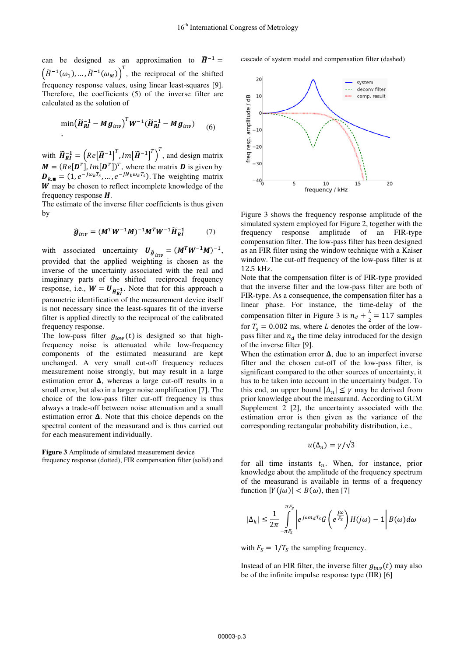can be designed as an approximation to  $\widetilde{H}^{-1}$  =  $\left(\widetilde{H}^{-1}(\omega_1), \ldots, \widetilde{H}^{-1}(\omega_M)\right)^T$ , the reciprocal of the shifted frequency response values, using linear least-squares [9]. Therefore, the coefficients (5) of the inverse filter are calculated as the solution of

$$
\min(\widetilde{H}_{RI}^{-1} - Mg_{inv})^T W^{-1} (\widetilde{H}_{RI}^{-1} - Mg_{inv}) \qquad (6)
$$

with  $\widetilde{H}_{RI}^{-1} = \left(Re[\widetilde{H}^{-1}]^T, Im[\widetilde{H}^{-1}]^T\right)^T$ , and design matrix  $M = (Re[\mathbf{D}^T], Im[\mathbf{D}^T])^T$ , where the matrix **D** is given by  $\mathbf{D}_{k, \blacksquare} = (1, e^{-j\omega_k T_s}, \ldots, e^{-jN_b\omega_k T_s})$ . The weighting matrix  $W$  may be chosen to reflect incomplete knowledge of the frequency response  $H$ .

The estimate of the inverse filter coefficients is thus given by

$$
\widehat{\boldsymbol{g}}_{inv} = (\boldsymbol{M}^T \boldsymbol{W}^{-1} \boldsymbol{M})^{-1} \boldsymbol{M}^T \boldsymbol{W}^{-1} \widetilde{\boldsymbol{H}}_{RI}^{-1} \tag{7}
$$

with associated uncertainty  $U_{\hat{g}_{inv}} = (M^T W^{-1} M)^{-1}$ , provided that the applied weighting is chosen as the inverse of the uncertainty associated with the real and imaginary parts of the shifted reciprocal frequency response, i.e.,  $W = U_{\tilde{H}_{RI}^{-1}}$ . Note that for this approach a parametric identification of the measurement device itself is not necessary since the least-squares fit of the inverse filter is applied directly to the reciprocal of the calibrated frequency response.

The low-pass filter  $g_{low}(t)$  is designed so that highfrequency noise is attenuated while low-frequency components of the estimated measurand are kept unchanged. A very small cut-off frequency reduces measurement noise strongly, but may result in a large estimation error &, whereas a large cut-off results in a small error, but also in a larger noise amplification [7]. The choice of the low-pass filter cut-off frequency is thus always a trade-off between noise attenuation and a small estimation error  $\Delta$ . Note that this choice depends on the spectral content of the measurand and is thus carried out for each measurement individually.

**Figure 3** Amplitude of simulated measurement device frequency response (dotted), FIR compensation filter (solid) and



cascade of system model and compensation filter (dashed)

Figure 3 shows the frequency response amplitude of the simulated system employed for Figure 2, together with the frequency response amplitude of an FIR-type compensation filter. The low-pass filter has been designed as an FIR filter using the window technique with a Kaiser window. The cut-off frequency of the low-pass filter is at 12.5 kHz.

Note that the compensation filter is of FIR-type provided that the inverse filter and the low-pass filter are both of FIR-type. As a consequence, the compensation filter has a linear phase. For instance, the time-delay of the compensation filter in Figure 3 is  $n_d + \frac{L}{2} = 117$  samples for  $T_s = 0.002$  ms, where L denotes the order of the lowpass filter and  $n_d$  the time delay introduced for the design of the inverse filter [9].

When the estimation error  $\Delta$ , due to an imperfect inverse filter and the chosen cut-off of the low-pass filter, is significant compared to the other sources of uncertainty, it has to be taken into account in the uncertainty budget. To this end, an upper bound  $|\Delta_n| \leq \gamma$  may be derived from prior knowledge about the measurand. According to GUM Supplement 2 [2], the uncertainty associated with the estimation error is then given as the variance of the corresponding rectangular probability distribution, i.e.,

$$
u(\Delta_n) = \gamma/\sqrt{3}
$$

for all time instants  $t_n$ . When, for instance, prior knowledge about the amplitude of the frequency spectrum of the measurand is available in terms of a frequency function  $|Y(i\omega)| < B(\omega)$ , then [7]

$$
|\Delta_k|\leq \frac{1}{2\pi}\int\limits_{-\pi F_s}^{\pi F_s}\left|e^{j\omega n_d T_s}G\left(e^{\frac{j\omega}{F_s}}\right)H(j\omega)-1\right|B(\omega)d\omega
$$

with  $F_s = 1/T_s$  the sampling frequency.

Instead of an FIR filter, the inverse filter  $g_{inv}(t)$  may also be of the infinite impulse response type (IIR) [6]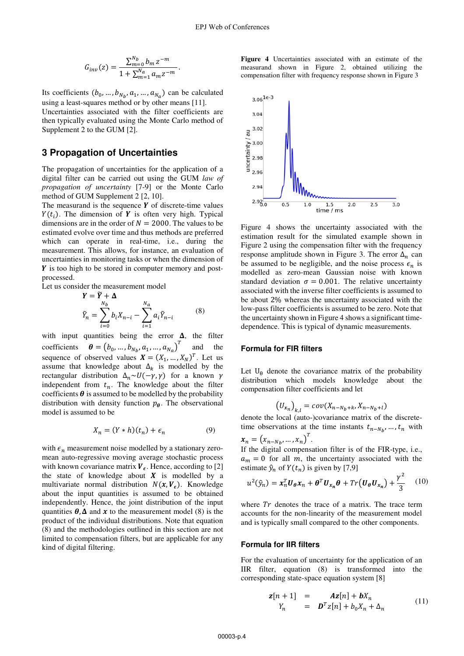$$
G_{inv}(z) = \frac{\sum_{m=0}^{N_b} b_m z^{-m}}{1 + \sum_{m=1}^{N_a} a_m z^{-m}}
$$

 $\overline{a}$ 

Its coefficients  $(b_0, ..., b_{N_b}, a_1, ..., a_{N_a})$  can be calculated using a least-squares method or by other means [11]. Uncertainties associated with the filter coefficients are then typically evaluated using the Monte Carlo method of Supplement 2 to the GUM [2].

### **3 Propagation of Uncertainties**

The propagation of uncertainties for the application of a digital filter can be carried out using the GUM *law of propagation of uncertainty* [7-9] or the Monte Carlo method of GUM Supplement 2 [2, 10].

The measurand is the sequence  $Y$  of discrete-time values  $Y(t_i)$ . The dimension of **Y** is often very high. Typical dimensions are in the order of  $N = 2000$ . The values to be estimated evolve over time and thus methods are preferred which can operate in real-time, i.e., during the measurement. This allows, for instance, an evaluation of uncertainties in monitoring tasks or when the dimension of  $\boldsymbol{Y}$  is too high to be stored in computer memory and postprocessed.

Let us consider the measurement model

$$
\mathbf{Y} = \widetilde{\mathbf{Y}} + \mathbf{\Delta}
$$
\n
$$
\widetilde{Y}_n = \sum_{i=0}^{N_b} b_i X_{n-i} - \sum_{i=1}^{N_a} a_i \widetilde{Y}_{n-i}
$$
\n(8)

with input quantities being the error  $\Delta$ , the filter coefficients  $\boldsymbol{\theta} = (b_0, ..., b_{N_h}, a_1, ..., a_{N_a})^T$  and the sequence of observed values  $X = (X_1, ..., X_N)^T$ . Let us assume that knowledge about  $\Delta_k$  is modelled by the rectangular distribution  $\Delta_n \sim U(-\gamma, \gamma)$  for a known  $\gamma$ independent from  $t_n$ . The knowledge about the filter coefficients  $\theta$  is assumed to be modelled by the probability distribution with density function  $p_{\theta}$ . The observational model is assumed to be

$$
X_n = (Y * h)(t_n) + \epsilon_n \tag{9}
$$

with  $\epsilon_n$  measurement noise modelled by a stationary zeromean auto-regressive moving average stochastic process with known covariance matrix  $V_{\epsilon}$ . Hence, according to [2] the state of knowledge about  $X$  is modelled by a multivariate normal distribution  $N(x, V_f)$ . Knowledge about the input quantities is assumed to be obtained independently. Hence, the joint distribution of the input quantities  $\theta$ ,  $\Delta$  and  $\chi$  to the measurement model (8) is the product of the individual distributions. Note that equation (8) and the methodologies outlined in this section are not limited to compensation filters, but are applicable for any kind of digital filtering.

**Figure 4** Uncertainties associated with an estimate of the measurand shown in Figure 2, obtained utilizing the compensation filter with frequency response shown in Figure 3



Figure 4 shows the uncertainty associated with the estimation result for the simulated example shown in Figure 2 using the compensation filter with the frequency response amplitude shown in Figure 3. The error  $\Delta_n$  can be assumed to be negligible, and the noise process  $\epsilon_n$  is modelled as zero-mean Gaussian noise with known standard deviation  $\sigma = 0.001$ . The relative uncertainty associated with the inverse filter coefficients is assumed to be about 2% whereas the uncertainty associated with the low-pass filter coefficients is assumed to be zero. Note that the uncertainty shown in Figure 4 shows a significant timedependence. This is typical of dynamic measurements.

#### **Formula for FIR filters**

Let  $U_{\theta}$  denote the covariance matrix of the probability distribution which models knowledge about the compensation filter coefficients and let

$$
(U_{x_n})_{k,l} = cov(X_{n-N_b+k}, X_{n-N_b+l})
$$

denote the local (auto-)covariance matrix of the discretetime observations at the time instants  $t_{n-N_h}, \ldots, t_n$  with

 $x_n = (x_{n-N_b}, ..., x_n)^T$ .

If the digital compensation filter is of the FIR-type, i.e.,  $a_m = 0$  for all m, the uncertainty associated with the estimate  $\hat{y}_n$  of  $Y(t_n)$  is given by [7,9]

$$
u^2(\hat{y}_n) = \mathbf{x}_n^T \mathbf{U}_{\theta} \mathbf{x}_n + \boldsymbol{\theta}^T \mathbf{U}_{\mathbf{x}_n} \boldsymbol{\theta} + Tr(\mathbf{U}_{\theta} \mathbf{U}_{\mathbf{x}_n}) + \frac{\gamma^2}{3} \quad (10)
$$

where  $Tr$  denotes the trace of a matrix. The trace term accounts for the non-linearity of the measurement model and is typically small compared to the other components.

#### **Formula for IIR filters**

For the evaluation of uncertainty for the application of an IIR filter, equation (8) is transformed into the corresponding state-space equation system [8]

$$
\mathbf{z}[n+1] = \mathbf{A}\mathbf{z}[n] + \mathbf{b}X_n
$$
  
\n
$$
Y_n = \mathbf{D}^T \mathbf{z}[n] + b_0 X_n + \Delta_n
$$
 (11)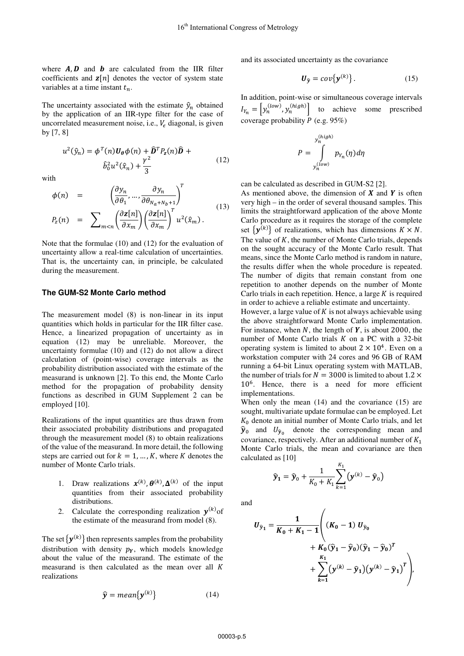where  $A, D$  and  $b$  are calculated from the IIR filter coefficients and  $z[n]$  denotes the vector of system state variables at a time instant  $t_n$ .

The uncertainty associated with the estimate  $\hat{y}_n$  obtained by the application of an IIR-type filter for the case of uncorrelated measurement noise, i.e.,  $V_{\epsilon}$  diagonal, is given by [7, 8]

$$
u^{2}(\hat{y}_{n}) = \phi^{T}(n)U_{\theta}\phi(n) + \hat{\mathbf{D}}^{T}P_{z}(n)\hat{\mathbf{D}} +
$$

$$
\hat{b}_{0}^{2}u^{2}(\hat{x}_{n}) + \frac{\gamma^{2}}{3}
$$
(12)

with

$$
\phi(n) = \left(\frac{\partial y_n}{\partial \theta_1}, \dots, \frac{\partial y_n}{\partial \theta_{N_a + N_b + 1}}\right)^T
$$
\n
$$
P_z(n) = \sum_{m < n} \left(\frac{\partial z[n]}{\partial x_m}\right) \left(\frac{\partial z[n]}{\partial x_m}\right)^T u^2(\hat{x}_m) \tag{13}
$$

Note that the formulae (10) and (12) for the evaluation of uncertainty allow a real-time calculation of uncertainties. That is, the uncertainty can, in principle, be calculated during the measurement.

#### **The GUM-S2 Monte Carlo method**

The measurement model (8) is non-linear in its input quantities which holds in particular for the IIR filter case. Hence, a linearized propagation of uncertainty as in equation (12) may be unreliable. Moreover, the uncertainty formulae (10) and (12) do not allow a direct calculation of (point-wise) coverage intervals as the probability distribution associated with the estimate of the measurand is unknown [2]. To this end, the Monte Carlo method for the propagation of probability density functions as described in GUM Supplement 2 can be employed [10].

Realizations of the input quantities are thus drawn from their associated probability distributions and propagated through the measurement model (8) to obtain realizations of the value of the measurand. In more detail, the following steps are carried out for  $k = 1, ..., K$ , where K denotes the number of Monte Carlo trials.

- 1. Draw realizations  $\mathbf{x}^{(k)}$ ,  $\mathbf{\theta}^{(k)}$ ,  $\mathbf{\Delta}^{(k)}$  of the input quantities from their associated probability distributions.
- 2. Calculate the corresponding realization  $y^{(k)}$  of the estimate of the measurand from model (8).

The set  $\{y^{(k)}\}$  then represents samples from the probability distribution with density  $p<sub>y</sub>$ , which models knowledge about the value of the measurand. The estimate of the measurand is then calculated as the mean over all  $K$ realizations

$$
\hat{\mathbf{y}} = mean\{\mathbf{y}^{(k)}\}\tag{14}
$$

and its associated uncertainty as the covariance

$$
\boldsymbol{U}_{\hat{\mathbf{y}}} = cov\{\mathbf{y}^{(k)}\}.
$$
 (15)

In addition, point-wise or simultaneous coverage intervals  $I_{Y_n} = \left[ y_n^{(low)} , y_n^{(high)} \right]$ to achieve some prescribed coverage probability  $P$  (e.g. 95%)

$$
P = \int_{y_n^{(low)}}^{y_n^{(high)}} p_{Y_n}(\eta) d\eta
$$

can be calculated as described in GUM-S2 [2].

As mentioned above, the dimension of  $X$  and  $Y$  is often very high – in the order of several thousand samples. This limits the straightforward application of the above Monte Carlo procedure as it requires the storage of the complete set  $\{y^{(k)}\}$  of realizations, which has dimensions  $K \times N$ . The value of  $K$ , the number of Monte Carlo trials, depends on the sought accuracy of the Monte Carlo result. That means, since the Monte Carlo method is random in nature, the results differ when the whole procedure is repeated. The number of digits that remain constant from one repetition to another depends on the number of Monte Carlo trials in each repetition. Hence, a large  $K$  is required in order to achieve a reliable estimate and uncertainty.

However, a large value of  $K$  is not always achievable using the above straightforward Monte Carlo implementation. For instance, when  $N$ , the length of  $Y$ , is about 2000, the number of Monte Carlo trials  $K$  on a PC with a 32-bit operating system is limited to about  $2 \times 10^4$ . Even on a workstation computer with 24 cores and 96 GB of RAM running a 64-bit Linux operating system with MATLAB, the number of trials for  $N = 3000$  is limited to about 1.2  $\times$  $10<sup>6</sup>$ . Hence, there is a need for more efficient implementations.

When only the mean (14) and the covariance (15) are sought, multivariate update formulae can be employed. Let  $K_0$  denote an initial number of Monte Carlo trials, and let  $\hat{y}_0$  and  $U_{\hat{y}_0}$  denote the corresponding mean and covariance, respectively. After an additional number of  $K_1$ Monte Carlo trials, the mean and covariance are then calculated as [10]

$$
\widehat{\mathbf{y}}_1 = \widehat{\mathbf{y}}_0 + \frac{1}{K_0 + K_1} \sum_{k=1}^{K_1} (\mathbf{y}^{(k)} - \widehat{\mathbf{y}}_0)
$$

and

$$
U_{\hat{y}_1} = \frac{1}{K_0 + K_1 - 1} \Bigg( (K_0 - 1) U_{\hat{y}_0} + K_0 (\hat{y}_1 - \hat{y}_0) (\hat{y}_1 - \hat{y}_0)^T + \sum_{k=1}^{K_1} (y^{(k)} - \hat{y}_1) (y^{(k)} - \hat{y}_1)^T \Bigg),
$$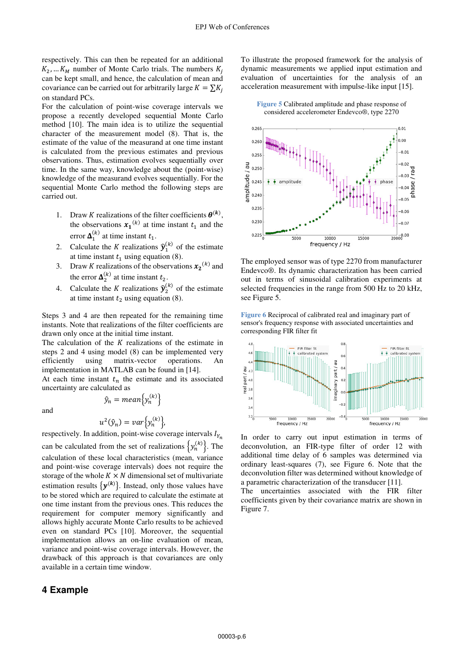respectively. This can then be repeated for an additional  $K_2$ , ...  $K_M$  number of Monte Carlo trials. The numbers  $K_i$ can be kept small, and hence, the calculation of mean and covariance can be carried out for arbitrarily large  $K = \sum K_i$ on standard PCs.

For the calculation of point-wise coverage intervals we propose a recently developed sequential Monte Carlo method [10]. The main idea is to utilize the sequential character of the measurement model (8). That is, the estimate of the value of the measurand at one time instant is calculated from the previous estimates and previous observations. Thus, estimation evolves sequentially over time. In the same way, knowledge about the (point-wise) knowledge of the measurand evolves sequentially. For the sequential Monte Carlo method the following steps are carried out.

- 1. Draw *K* realizations of the filter coefficients  $\theta^{(k)}$ , the observations  $x_1^{(k)}$  at time instant  $t_1$  and the error  $\Delta_1^{(k)}$  at time instant  $t_1$ .
- 2. Calculate the K realizations  $\hat{y}_1^{(k)}$  of the estimate at time instant  $t_1$  using equation (8).
- 3. Draw K realizations of the observations  $x_2^{(k)}$  and the error  $\Delta_2^{(k)}$  at time instant  $t_2$ .
- 4. Calculate the *K* realizations  $\hat{y}_2^{(k)}$  of the estimate at time instant  $t_2$  using equation (8).

Steps 3 and 4 are then repeated for the remaining time instants. Note that realizations of the filter coefficients are drawn only once at the initial time instant.

The calculation of the  $K$  realizations of the estimate in steps 2 and 4 using model (8) can be implemented very efficiently using matrix-vector operations. implementation in MATLAB can be found in [14].

At each time instant  $t_n$  the estimate and its associated uncertainty are calculated as

and

$$
\hat{y}_n = mean\{y_n^{(k)}\}
$$

$$
u^2(\hat{y}_n) = var\{y_n^{(k)}\},
$$

respectively. In addition, point-wise coverage intervals  $I_{Y_n}$ can be calculated from the set of realizations  $\{y_n^{(k)}\}$ . The calculation of these local characteristics (mean, variance and point-wise coverage intervals) does not require the storage of the whole  $K \times N$  dimensional set of multivariate estimation results  $\{y^{(k)}\}$ . Instead, only those values have to be stored which are required to calculate the estimate at one time instant from the previous ones. This reduces the requirement for computer memory significantly and allows highly accurate Monte Carlo results to be achieved even on standard PCs [10]. Moreover, the sequential implementation allows an on-line evaluation of mean, variance and point-wise coverage intervals. However, the drawback of this approach is that covariances are only available in a certain time window.

### **4 Example**

To illustrate the proposed framework for the analysis of dynamic measurements we applied input estimation and evaluation of uncertainties for the analysis of an acceleration measurement with impulse-like input [15].

**Figure 5** Calibrated amplitude and phase response of considered accelerometer Endevco®, type 2270



The employed sensor was of type 2270 from manufacturer Endevco®. Its dynamic characterization has been carried out in terms of sinusoidal calibration experiments at selected frequencies in the range from 500 Hz to 20 kHz, see Figure 5.

**Figure 6** Reciprocal of calibrated real and imaginary part of sensor's frequency response with associated uncertainties and corresponding FIR filter fit



In order to carry out input estimation in terms of deconvolution, an FIR-type filter of order 12 with additional time delay of 6 samples was determined via ordinary least-squares (7), see Figure 6. Note that the deconvolution filter was determined without knowledge of a parametric characterization of the transducer [11].

The uncertainties associated with the FIR filter coefficients given by their covariance matrix are shown in Figure 7.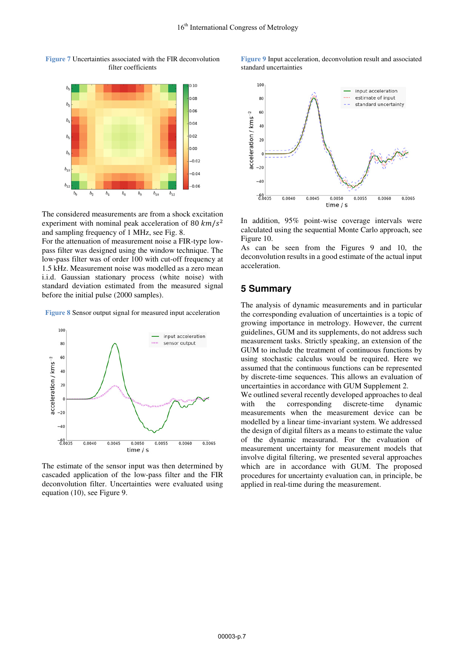

**Figure 7** Uncertainties associated with the FIR deconvolution filter coefficients

The considered measurements are from a shock excitation experiment with nominal peak acceleration of 80  $km/s^2$ and sampling frequency of 1 MHz, see Fig. 8.

For the attenuation of measurement noise a FIR-type lowpass filter was designed using the window technique. The low-pass filter was of order 100 with cut-off frequency at 1.5 kHz. Measurement noise was modelled as a zero mean i.i.d. Gaussian stationary process (white noise) with standard deviation estimated from the measured signal before the initial pulse (2000 samples).

**Figure 8** Sensor output signal for measured input acceleration



The estimate of the sensor input was then determined by cascaded application of the low-pass filter and the FIR deconvolution filter. Uncertainties were evaluated using equation (10), see Figure 9.



**Figure 9** Input acceleration, deconvolution result and associated



In addition, 95% point-wise coverage intervals were calculated using the sequential Monte Carlo approach, see Figure 10.

As can be seen from the Figures 9 and 10, the deconvolution results in a good estimate of the actual input acceleration.

### **5 Summary**

The analysis of dynamic measurements and in particular the corresponding evaluation of uncertainties is a topic of growing importance in metrology. However, the current guidelines, GUM and its supplements, do not address such measurement tasks. Strictly speaking, an extension of the GUM to include the treatment of continuous functions by using stochastic calculus would be required. Here we assumed that the continuous functions can be represented by discrete-time sequences. This allows an evaluation of uncertainties in accordance with GUM Supplement 2.

We outlined several recently developed approaches to deal with the corresponding discrete-time dynamic measurements when the measurement device can be modelled by a linear time-invariant system. We addressed the design of digital filters as a means to estimate the value of the dynamic measurand. For the evaluation of measurement uncertainty for measurement models that involve digital filtering, we presented several approaches which are in accordance with GUM. The proposed procedures for uncertainty evaluation can, in principle, be applied in real-time during the measurement.